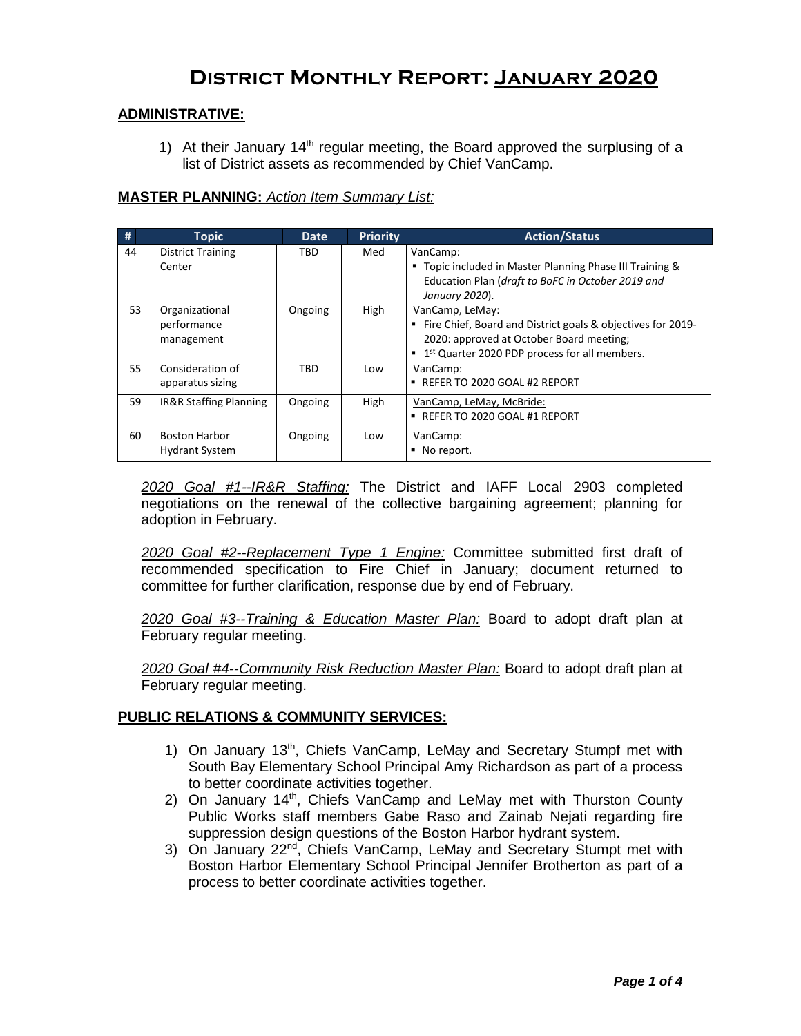# **District Monthly Report: January 2020**

## **ADMINISTRATIVE:**

1) At their January  $14<sup>th</sup>$  regular meeting, the Board approved the surplusing of a list of District assets as recommended by Chief VanCamp.

## **MASTER PLANNING:** *Action Item Summary List:*

| #  | <b>Topic</b>                                  | <b>Date</b> | <b>Priority</b> | <b>Action/Status</b>                                                                                                                                                                      |
|----|-----------------------------------------------|-------------|-----------------|-------------------------------------------------------------------------------------------------------------------------------------------------------------------------------------------|
| 44 | <b>District Training</b><br>Center            | TBD         | Med             | VanCamp:<br>" Topic included in Master Planning Phase III Training &<br>Education Plan (draft to BoFC in October 2019 and<br>January 2020).                                               |
| 53 | Organizational<br>performance<br>management   | Ongoing     | High            | VanCamp, LeMay:<br>Fire Chief, Board and District goals & objectives for 2019-<br>2020: approved at October Board meeting;<br>■ 1 <sup>st</sup> Quarter 2020 PDP process for all members. |
| 55 | Consideration of<br>apparatus sizing          | TBD         | Low             | VanCamp:<br>■ REFER TO 2020 GOAL #2 REPORT                                                                                                                                                |
| 59 | IR&R Staffing Planning                        | Ongoing     | High            | VanCamp, LeMay, McBride:<br>REFER TO 2020 GOAL #1 REPORT                                                                                                                                  |
| 60 | <b>Boston Harbor</b><br><b>Hydrant System</b> | Ongoing     | Low             | VanCamp:<br>No report.                                                                                                                                                                    |

*2020 Goal #1--IR&R Staffing:* The District and IAFF Local 2903 completed negotiations on the renewal of the collective bargaining agreement; planning for adoption in February.

*2020 Goal #2--Replacement Type 1 Engine:* Committee submitted first draft of recommended specification to Fire Chief in January; document returned to committee for further clarification, response due by end of February.

*2020 Goal #3--Training & Education Master Plan:* Board to adopt draft plan at February regular meeting.

*2020 Goal #4--Community Risk Reduction Master Plan:* Board to adopt draft plan at February regular meeting.

### **PUBLIC RELATIONS & COMMUNITY SERVICES:**

- 1) On January 13<sup>th</sup>, Chiefs VanCamp, LeMay and Secretary Stumpf met with South Bay Elementary School Principal Amy Richardson as part of a process to better coordinate activities together.
- 2) On January 14<sup>th</sup>, Chiefs VanCamp and LeMay met with Thurston County Public Works staff members Gabe Raso and Zainab Nejati regarding fire suppression design questions of the Boston Harbor hydrant system.
- 3) On January 22<sup>nd</sup>, Chiefs VanCamp, LeMay and Secretary Stumpt met with Boston Harbor Elementary School Principal Jennifer Brotherton as part of a process to better coordinate activities together.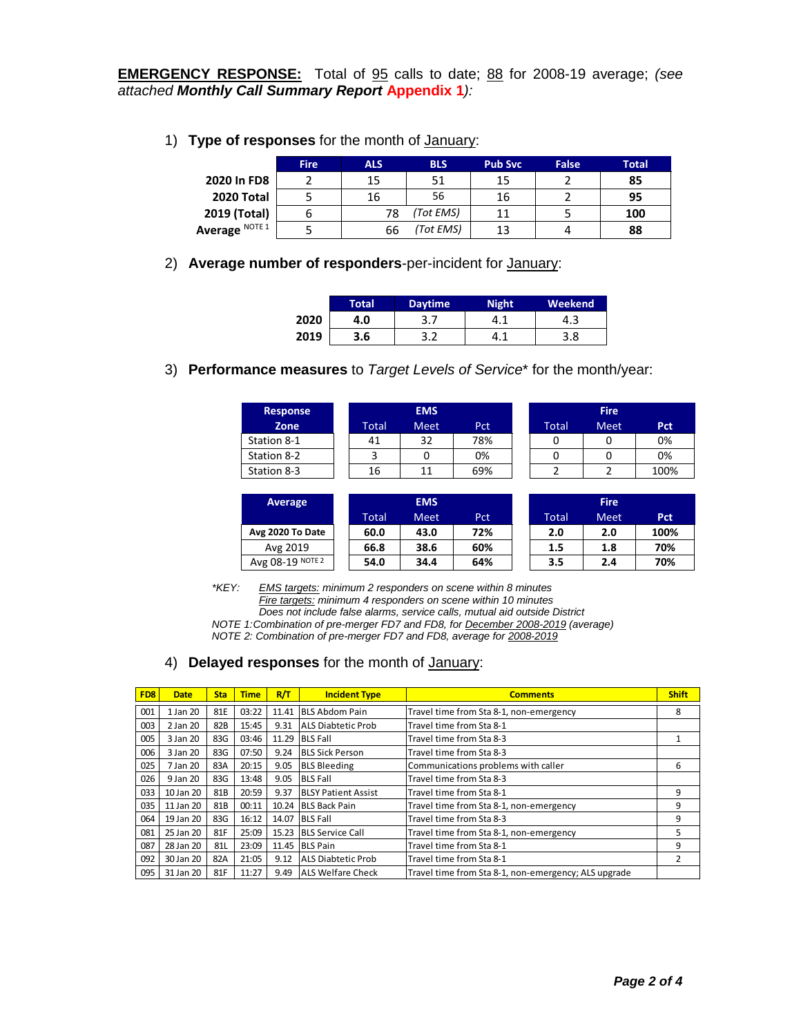**EMERGENCY RESPONSE:** Total of 95 calls to date; 88 for 2008-19 average; *(see attached Monthly Call Summary Report* **Appendix 1***):*

1) **Type of responses** for the month of January:

|                | <b>Fire</b> | ALS. | <b>BLS</b> | <b>Pub Svc</b> | <b>False</b> | Total |
|----------------|-------------|------|------------|----------------|--------------|-------|
| 2020 In FD8    |             | 15   | 51         | 15             |              | 85    |
| 2020 Total     |             | 16   | 56         | 16             |              | 95    |
| 2019 (Total)   |             | 78   | (Tot EMS)  | 11             |              | 100   |
| Average NOTE 1 |             | 66   | (Tot EMS)  | 13             |              | 88    |

2) **Average number of responders**-per-incident for January:

|      | Total' | <b>Daytime</b> | Night | Weekend |
|------|--------|----------------|-------|---------|
| 2020 | 4.0    | J.,            |       | 4.J     |
| 2019 | 3.6    |                |       | 3.8     |

3) **Performance measures** to *Target Levels of Service*\* for the month/year:

| <b>Response</b> |       | <b>EMS</b>  |            |       | <b>Fire</b> |            |
|-----------------|-------|-------------|------------|-------|-------------|------------|
| Zone            | Total | <b>Meet</b> | <b>Pct</b> | Total | <b>Meet</b> | <b>Pct</b> |
| Station 8-1     | 41    | 32          | 78%        |       |             | 0%         |
| Station 8-2     |       | 0           | 0%         |       |             | 0%         |
| Station 8-3     | 16    | 11          | 69%        |       |             | 100%       |
|                 |       |             |            |       |             |            |

| Average          |       | <b>EMS</b>  |     |       | <b>Fire</b> |            |
|------------------|-------|-------------|-----|-------|-------------|------------|
|                  | Total | <b>Meet</b> | Pct | Total | <b>Meet</b> | <b>Pct</b> |
| Avg 2020 To Date | 60.0  | 43.0        | 72% | 2.0   | 2.0         | 100%       |
| Avg 2019         | 66.8  | 38.6        | 60% | 1.5   | 1.8         | 70%        |
| Avg 08-19 NOTE 2 | 54.0  | 34.4        | 64% | 3.5   | 2.4         | 70%        |

*\*KEY: EMS targets: minimum 2 responders on scene within 8 minutes Fire targets: minimum 4 responders on scene within 10 minutes Does not include false alarms, service calls, mutual aid outside District NOTE 1:Combination of pre-merger FD7 and FD8, for December 2008-2019 (average) NOTE 2: Combination of pre-merger FD7 and FD8, average for 2008-2019*

## 4) **Delayed responses** for the month of January:

| FD <sub>8</sub> | <b>Date</b> | <b>Sta</b> | <b>Time</b> | R/T   | <b>Incident Type</b>       | <b>Comments</b>                                      | <b>Shift</b> |
|-----------------|-------------|------------|-------------|-------|----------------------------|------------------------------------------------------|--------------|
| 001             | 1 Jan 20    | 81E        | 03:22       | 11.41 | <b>BLS Abdom Pain</b>      | Travel time from Sta 8-1, non-emergency              | 8            |
| 003             | 2 Jan 20    | 82B        | 15:45       | 9.31  | ALS Diabtetic Prob         | Travel time from Sta 8-1                             |              |
| 005             | 3 Jan 20    | 83G        | 03:46       | 11.29 | <b>BLS Fall</b>            | Travel time from Sta 8-3                             |              |
| 006             | 3 Jan 20    | 83G        | 07:50       | 9.24  | <b>BLS Sick Person</b>     | Travel time from Sta 8-3                             |              |
| 025             | 7 Jan 20    | 83A        | 20:15       | 9.05  | <b>BLS Bleeding</b>        | Communications problems with caller                  | 6            |
| 026             | 9 Jan 20    | 83G        | 13:48       | 9.05  | <b>BLS Fall</b>            | Travel time from Sta 8-3                             |              |
| 033             | 10 Jan 20   | 81B        | 20:59       | 9.37  | <b>BLSY Patient Assist</b> | Travel time from Sta 8-1                             | 9            |
| 035             | 11 Jan 20   | 81B        | 00:11       | 10.24 | <b>BLS Back Pain</b>       | Travel time from Sta 8-1, non-emergency              | 9            |
| 064             | 19 Jan 20   | 83G        | 16:12       | 14.07 | <b>BLS Fall</b>            | Travel time from Sta 8-3                             | 9            |
| 081             | 25 Jan 20   | 81F        | 25:09       | 15.23 | <b>BLS Service Call</b>    | Travel time from Sta 8-1, non-emergency              | 5            |
| 087             | 28 Jan 20   | 81L        | 23:09       | 11.45 | <b>BLS Pain</b>            | Travel time from Sta 8-1                             | 9            |
| 092             | 30 Jan 20   | 82A        | 21:05       | 9.12  | ALS Diabtetic Prob         | Travel time from Sta 8-1                             | 2            |
| 095             | 31 Jan 20   | 81F        | 11:27       | 9.49  | <b>ALS Welfare Check</b>   | Travel time from Sta 8-1, non-emergency; ALS upgrade |              |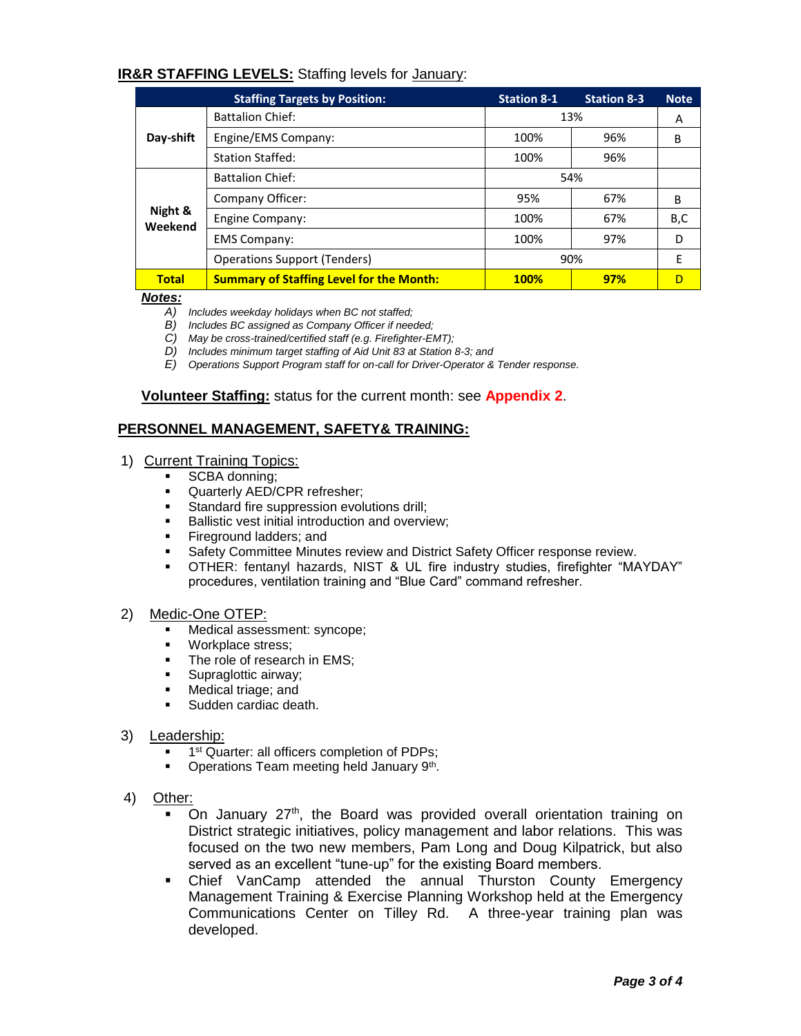## **IR&R STAFFING LEVELS:** Staffing levels for January:

|                    | <b>Staffing Targets by Position:</b>            | <b>Station 8-1</b> | <b>Station 8-3</b> | <b>Note</b> |
|--------------------|-------------------------------------------------|--------------------|--------------------|-------------|
|                    | <b>Battalion Chief:</b>                         | 13%                | A                  |             |
| Day-shift          | Engine/EMS Company:                             | 100%               | 96%                | B           |
|                    | <b>Station Staffed:</b>                         | 100%               | 96%                |             |
|                    | <b>Battalion Chief:</b>                         | 54%                |                    |             |
|                    | Company Officer:                                | 95%                | 67%                | B           |
| Night &<br>Weekend | Engine Company:                                 | 100%               | 67%                | B,C         |
|                    | <b>EMS Company:</b>                             | 100%               | 97%                | D           |
|                    | <b>Operations Support (Tenders)</b>             | 90%                | E                  |             |
| <b>Total</b>       | <b>Summary of Staffing Level for the Month:</b> | <b>100%</b>        | 97%                | D           |

*Notes:*

- *A) Includes weekday holidays when BC not staffed;*
- *B) Includes BC assigned as Company Officer if needed;*
- *C) May be cross-trained/certified staff (e.g. Firefighter-EMT);*
- *D) Includes minimum target staffing of Aid Unit 83 at Station 8-3; and*
- *E) Operations Support Program staff for on-call for Driver-Operator & Tender response.*

**Volunteer Staffing:** status for the current month: see **Appendix 2**.

## **PERSONNEL MANAGEMENT, SAFETY& TRAINING:**

#### 1) Current Training Topics:

- SCBA donning;
- **Quarterly AED/CPR refresher;**<br>Standard fire suppression evol
- Standard fire suppression evolutions drill;
- **Ballistic vest initial introduction and overview;**
- **Fireground ladders; and**
- **Safety Committee Minutes review and District Safety Officer response review.**
- OTHER: fentanyl hazards, NIST & UL fire industry studies, firefighter "MAYDAY" procedures, ventilation training and "Blue Card" command refresher.

#### 2) Medic-One OTEP:

- **Medical assessment: syncope;**
- **Workplace stress;**
- The role of research in EMS;
- **Supraglottic airway;**
- **Medical triage; and**
- Sudden cardiac death.
- 3) Leadership:
	- **1** 1<sup>st</sup> Quarter: all officers completion of PDPs;
	- **Operations Team meeting held January 9th.**
- 4) Other:
	- On January  $27<sup>th</sup>$ , the Board was provided overall orientation training on District strategic initiatives, policy management and labor relations. This was focused on the two new members, Pam Long and Doug Kilpatrick, but also served as an excellent "tune-up" for the existing Board members.
	- Chief VanCamp attended the annual Thurston County Emergency Management Training & Exercise Planning Workshop held at the Emergency Communications Center on Tilley Rd. A three-year training plan was developed.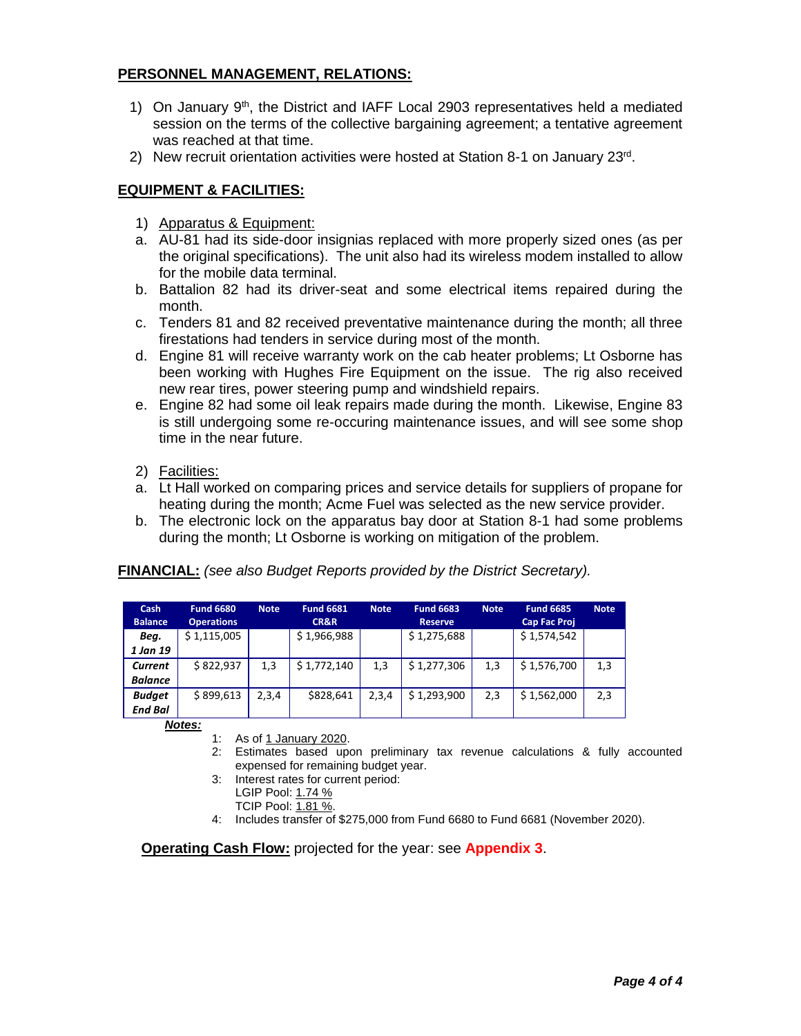## **PERSONNEL MANAGEMENT, RELATIONS:**

- 1) On January 9<sup>th</sup>, the District and IAFF Local 2903 representatives held a mediated session on the terms of the collective bargaining agreement; a tentative agreement was reached at that time.
- 2) New recruit orientation activities were hosted at Station 8-1 on January 23rd.

## **EQUIPMENT & FACILITIES:**

- 1) Apparatus & Equipment:
- a. AU-81 had its side-door insignias replaced with more properly sized ones (as per the original specifications). The unit also had its wireless modem installed to allow for the mobile data terminal.
- b. Battalion 82 had its driver-seat and some electrical items repaired during the month.
- c. Tenders 81 and 82 received preventative maintenance during the month; all three firestations had tenders in service during most of the month.
- d. Engine 81 will receive warranty work on the cab heater problems; Lt Osborne has been working with Hughes Fire Equipment on the issue. The rig also received new rear tires, power steering pump and windshield repairs.
- e. Engine 82 had some oil leak repairs made during the month. Likewise, Engine 83 is still undergoing some re-occuring maintenance issues, and will see some shop time in the near future.
- 2) Facilities:
- a. Lt Hall worked on comparing prices and service details for suppliers of propane for heating during the month; Acme Fuel was selected as the new service provider.
- b. The electronic lock on the apparatus bay door at Station 8-1 had some problems during the month; Lt Osborne is working on mitigation of the problem.

**FINANCIAL:** *(see also Budget Reports provided by the District Secretary).*

| Cash<br><b>Balance</b> | <b>Fund 6680</b><br><b>Operations</b> | <b>Note</b> | <b>Fund 6681</b><br><b>CR&amp;R</b> | <b>Note</b> | <b>Fund 6683</b><br><b>Reserve</b> | <b>Note</b> | <b>Fund 6685</b><br><b>Cap Fac Proj</b> | <b>Note</b> |
|------------------------|---------------------------------------|-------------|-------------------------------------|-------------|------------------------------------|-------------|-----------------------------------------|-------------|
| Beg.                   | \$1,115,005                           |             | \$1,966,988                         |             | \$1,275,688                        |             | \$1,574,542                             |             |
| 1 Jan 19               |                                       |             |                                     |             |                                    |             |                                         |             |
| Current                | \$822,937                             | 1,3         | \$1,772,140                         | 1,3         | \$1,277,306                        | 1,3         | \$1,576,700                             | 1,3         |
| <b>Balance</b>         |                                       |             |                                     |             |                                    |             |                                         |             |
| <b>Budget</b>          | \$899,613                             | 2,3,4       | \$828,641                           | 2,3,4       | \$1,293,900                        | 2,3         | \$1,562,000                             | 2,3         |
| <b>End Bal</b>         |                                       |             |                                     |             |                                    |             |                                         |             |

*Notes:*

- 1: As of 1 January 2020.
- 2: Estimates based upon preliminary tax revenue calculations & fully accounted expensed for remaining budget year.
- 3: Interest rates for current period:
	- LGIP Pool: 1.74 %
	- TCIP Pool: 1.81 %.
- 4: Includes transfer of \$275,000 from Fund 6680 to Fund 6681 (November 2020).

**Operating Cash Flow:** projected for the year: see **Appendix 3**.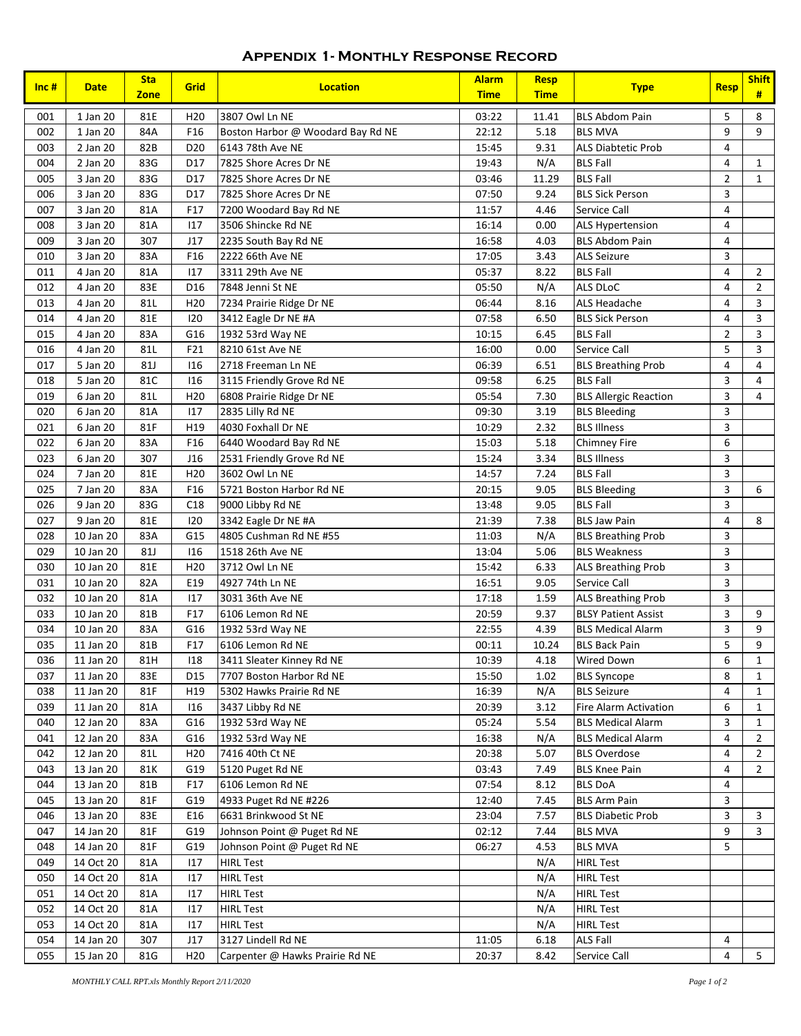#### **Appendix 1- Monthly Response Record**

| $Inc$ #    | <b>Date</b>            | <b>Sta</b><br><b>Zone</b> | Grid            | <b>Location</b>                        | <b>Alarm</b><br><b>Time</b> | <b>Resp</b><br><b>Time</b> | <b>Type</b>                          | <b>Resp</b>    | <b>Shift</b><br># |
|------------|------------------------|---------------------------|-----------------|----------------------------------------|-----------------------------|----------------------------|--------------------------------------|----------------|-------------------|
| 001        | 1 Jan 20               | 81E                       | H <sub>20</sub> | 3807 Owl Ln NE                         | 03:22                       | 11.41                      | <b>BLS Abdom Pain</b>                | 5              | 8                 |
| 002        | 1 Jan 20               | 84A                       | F16             | Boston Harbor @ Woodard Bay Rd NE      | 22:12                       | 5.18                       | <b>BLS MVA</b>                       | 9              | 9                 |
| 003        | 2 Jan 20               | 82B                       | D <sub>20</sub> | 6143 78th Ave NE                       | 15:45                       | 9.31                       | <b>ALS Diabtetic Prob</b>            | $\overline{4}$ |                   |
| 004        | 2 Jan 20               | 83G                       | D17             | 7825 Shore Acres Dr NE                 | 19:43                       | N/A                        | <b>BLS Fall</b>                      | $\overline{4}$ | $\mathbf{1}$      |
| 005        | 3 Jan 20               | 83G                       | D17             | 7825 Shore Acres Dr NE                 | 03:46                       | 11.29                      | <b>BLS Fall</b>                      | $\overline{2}$ | $\mathbf{1}$      |
| 006        | 3 Jan 20               | 83G                       | D17             | 7825 Shore Acres Dr NE                 | 07:50                       | 9.24                       | <b>BLS Sick Person</b>               | 3              |                   |
| 007        | 3 Jan 20               | 81A                       | F17             | 7200 Woodard Bay Rd NE                 | 11:57                       | 4.46                       | Service Call                         | 4              |                   |
| 008        | 3 Jan 20               | 81A                       | 117             | 3506 Shincke Rd NE                     | 16:14                       | 0.00                       | <b>ALS Hypertension</b>              | 4              |                   |
| 009        | 3 Jan 20               | 307                       | J17             | 2235 South Bay Rd NE                   | 16:58                       | 4.03                       | <b>BLS Abdom Pain</b>                | 4              |                   |
| 010        | 3 Jan 20               | 83A                       | F16             | 2222 66th Ave NE                       | 17:05                       | 3.43                       | <b>ALS Seizure</b>                   | 3              |                   |
| 011        | 4 Jan 20               | 81A                       | 117             | 3311 29th Ave NE                       | 05:37                       | 8.22                       | <b>BLS Fall</b>                      | 4              | $\overline{2}$    |
| 012        | 4 Jan 20               | 83E                       | D <sub>16</sub> | 7848 Jenni St NE                       | 05:50                       | N/A                        | ALS DLoC                             | 4              | $\overline{2}$    |
| 013        | 4 Jan 20               | 81L                       | H <sub>20</sub> | 7234 Prairie Ridge Dr NE               | 06:44                       | 8.16                       | <b>ALS Headache</b>                  | 4              | 3                 |
| 014        | 4 Jan 20               | 81E                       | 120             | 3412 Eagle Dr NE #A                    | 07:58                       | 6.50                       | <b>BLS Sick Person</b>               | 4              | 3                 |
| 015        | 4 Jan 20               | 83A                       | G16             | 1932 53rd Way NE                       | 10:15                       | 6.45                       | <b>BLS Fall</b>                      | $\overline{2}$ | 3                 |
| 016        | 4 Jan 20               | 81L                       | F21             | 8210 61st Ave NE                       | 16:00                       | 0.00                       | Service Call                         | 5              | 3                 |
| 017        | 5 Jan 20               | <b>81J</b>                | 116             | 2718 Freeman Ln NE                     | 06:39                       | 6.51                       | <b>BLS Breathing Prob</b>            | 4              | 4                 |
| 018        | 5 Jan 20               | 81C                       | 116             | 3115 Friendly Grove Rd NE              | 09:58                       | 6.25                       | <b>BLS Fall</b>                      | 3              | 4                 |
| 019        | 6 Jan 20               | 81L                       | H <sub>20</sub> | 6808 Prairie Ridge Dr NE               | 05:54                       | 7.30                       | <b>BLS Allergic Reaction</b>         | 3              | $\overline{4}$    |
| 020        | 6 Jan 20               | 81A                       | 117             | 2835 Lilly Rd NE                       | 09:30                       | 3.19                       | <b>BLS Bleeding</b>                  | 3              |                   |
| 021        | 6 Jan 20               | 81F                       | H19             | 4030 Foxhall Dr NE                     | 10:29                       | 2.32                       | <b>BLS Illness</b>                   | 3              |                   |
| 022        | 6 Jan 20               | 83A                       | F16             | 6440 Woodard Bay Rd NE                 | 15:03                       | 5.18                       | <b>Chimney Fire</b>                  | 6              |                   |
| 023        | 6 Jan 20               | 307                       | J16             | 2531 Friendly Grove Rd NE              | 15:24                       | 3.34                       | <b>BLS Illness</b>                   | 3              |                   |
| 024        | 7 Jan 20               | 81E                       | H <sub>20</sub> | 3602 Owl Ln NE                         | 14:57                       | 7.24                       | <b>BLS Fall</b>                      | 3              |                   |
| 025        | 7 Jan 20               | 83A                       | F16             | 5721 Boston Harbor Rd NE               | 20:15                       | 9.05                       | <b>BLS Bleeding</b>                  | 3              | 6                 |
| 026        | 9 Jan 20               | 83G                       | C18             | 9000 Libby Rd NE                       | 13:48                       | 9.05                       | <b>BLS Fall</b>                      | 3              |                   |
| 027        | 9 Jan 20               | 81E                       | 120             | 3342 Eagle Dr NE #A                    | 21:39                       | 7.38                       | <b>BLS Jaw Pain</b>                  | 4              | 8                 |
| 028        | 10 Jan 20              | 83A                       | G15             | 4805 Cushman Rd NE #55                 | 11:03                       | N/A                        | <b>BLS Breathing Prob</b>            | 3              |                   |
| 029        | 10 Jan 20              | <b>81J</b>                | 116             | 1518 26th Ave NE                       | 13:04                       | 5.06                       | <b>BLS Weakness</b>                  | 3              |                   |
| 030        | 10 Jan 20              | 81E                       | H <sub>20</sub> | 3712 Owl Ln NE                         | 15:42                       | 6.33                       | ALS Breathing Prob                   | 3              |                   |
| 031        | 10 Jan 20              | 82A                       | E19             | 4927 74th Ln NE                        | 16:51                       | 9.05                       | Service Call                         | 3              |                   |
| 032        | 10 Jan 20              | 81A                       | 117             | 3031 36th Ave NE                       | 17:18                       | 1.59                       | ALS Breathing Prob                   | 3              |                   |
| 033        | 10 Jan 20              | 81B                       | F17             | 6106 Lemon Rd NE                       | 20:59                       | 9.37                       | <b>BLSY Patient Assist</b>           | 3              | 9                 |
| 034        | 10 Jan 20              | 83A                       | G16             | 1932 53rd Way NE                       | 22:55                       | 4.39                       | <b>BLS Medical Alarm</b>             | 3              | 9                 |
| 035        | 11 Jan 20              | 81B                       | F17             | 6106 Lemon Rd NE                       | 00:11                       | 10.24                      | <b>BLS Back Pain</b>                 | 5              | 9                 |
| 036        | 11 Jan 20              | 81H                       | 118             | 3411 Sleater Kinney Rd NE              | 10:39                       | 4.18                       | <b>Wired Down</b>                    | 6              | $\mathbf{1}$      |
| 037        | 11 Jan 20              | 83E                       | D <sub>15</sub> | 7707 Boston Harbor Rd NE               | 15:50                       | 1.02                       | <b>BLS Syncope</b>                   | 8              | $\mathbf{1}$      |
| 038        | 11 Jan 20              | 81F                       | H19             | 5302 Hawks Prairie Rd NE               | 16:39                       | N/A                        | <b>BLS Seizure</b>                   | 4              | $\mathbf{1}$      |
| 039        | 11 Jan 20              | 81A                       | 116             | 3437 Libby Rd NE                       | 20:39                       | 3.12                       | Fire Alarm Activation                | 6              | $\mathbf{1}$      |
| 040        | 12 Jan 20              | 83A                       | G16             | 1932 53rd Way NE                       | 05:24                       | 5.54                       | <b>BLS Medical Alarm</b>             | 3              | $\mathbf{1}$      |
| 041        | 12 Jan 20              | 83A                       | G16             | 1932 53rd Way NE                       | 16:38                       | N/A                        | <b>BLS Medical Alarm</b>             | 4              | $\overline{2}$    |
| 042        | 12 Jan 20              | 81L                       | H <sub>20</sub> | 7416 40th Ct NE                        | 20:38                       | 5.07                       | <b>BLS Overdose</b>                  | 4              | $\overline{2}$    |
| 043        | 13 Jan 20              | 81K                       | G19             | 5120 Puget Rd NE                       | 03:43                       | 7.49                       | <b>BLS Knee Pain</b>                 | 4              | $\overline{2}$    |
| 044        | 13 Jan 20              | 81B                       | F17             | 6106 Lemon Rd NE                       | 07:54                       | 8.12                       | <b>BLS DoA</b>                       | 4              |                   |
| 045        | 13 Jan 20              | 81F                       | G19             | 4933 Puget Rd NE #226                  | 12:40                       | 7.45                       | <b>BLS Arm Pain</b>                  | 3              |                   |
| 046        | 13 Jan 20              | 83E                       | E16             | 6631 Brinkwood St NE                   | 23:04                       | 7.57                       | <b>BLS Diabetic Prob</b>             | 3              | 3                 |
| 047        | 14 Jan 20              | 81F                       | G19             | Johnson Point @ Puget Rd NE            | 02:12                       | 7.44                       | <b>BLS MVA</b>                       | 9              | $\overline{3}$    |
| 048        | 14 Jan 20              | 81F                       | G19             | Johnson Point @ Puget Rd NE            | 06:27                       | 4.53                       | <b>BLS MVA</b>                       | 5              |                   |
| 049        | 14 Oct 20              | 81A                       | 117             | <b>HIRL Test</b>                       |                             | N/A                        | <b>HIRL Test</b>                     |                |                   |
| 050        | 14 Oct 20              | 81A                       | 117             | <b>HIRL Test</b>                       |                             | N/A                        | <b>HIRL Test</b>                     |                |                   |
| 051        | 14 Oct 20              | 81A                       | 117             | <b>HIRL Test</b>                       |                             | N/A                        | <b>HIRL Test</b>                     |                |                   |
| 052        | 14 Oct 20              | 81A                       | 117             | <b>HIRL Test</b>                       |                             | N/A                        | <b>HIRL Test</b><br><b>HIRL Test</b> |                |                   |
| 053<br>054 | 14 Oct 20              | 81A<br>307                | 117<br>J17      | <b>HIRL Test</b><br>3127 Lindell Rd NE | 11:05                       | N/A<br>6.18                | <b>ALS Fall</b>                      | 4              |                   |
| 055        | 14 Jan 20<br>15 Jan 20 | 81G                       | H <sub>20</sub> | Carpenter @ Hawks Prairie Rd NE        | 20:37                       | 8.42                       | Service Call                         | 4              | 5                 |
|            |                        |                           |                 |                                        |                             |                            |                                      |                |                   |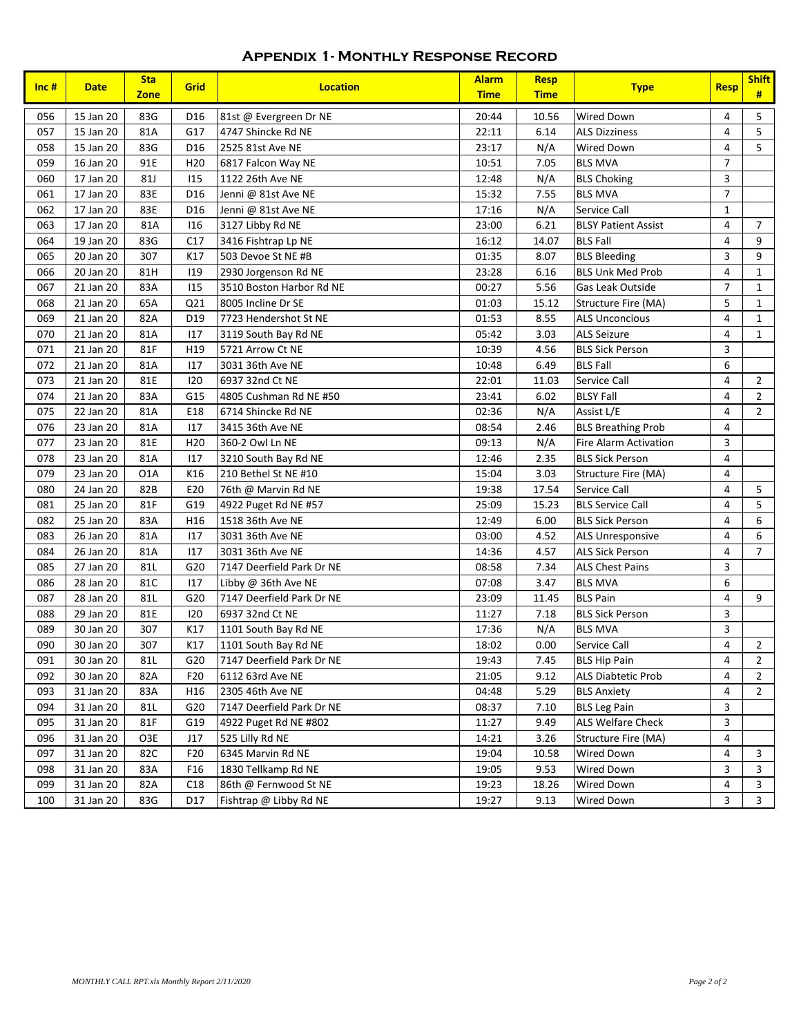## **Appendix 1- Monthly Response Record**

| Inc#       | <b>Date</b>            | <b>Sta</b><br><b>Zone</b> | Grid            | <b>Location</b>                              | <b>Alarm</b><br><b>Time</b> | <b>Resp</b><br><b>Time</b> | <b>Type</b>                    | <b>Resp</b>         | <b>Shift</b><br>#                |
|------------|------------------------|---------------------------|-----------------|----------------------------------------------|-----------------------------|----------------------------|--------------------------------|---------------------|----------------------------------|
| 056        | 15 Jan 20              | 83G                       | D <sub>16</sub> | 81st @ Evergreen Dr NE                       | 20:44                       | 10.56                      | <b>Wired Down</b>              | 4                   | 5                                |
| 057        | 15 Jan 20              | 81A                       | G17             | 4747 Shincke Rd NE                           | 22:11                       | 6.14                       | <b>ALS Dizziness</b>           | $\overline{4}$      | 5                                |
| 058        | 15 Jan 20              | 83G                       | D <sub>16</sub> | 2525 81st Ave NE                             | 23:17                       | N/A                        | Wired Down                     | 4                   | 5                                |
| 059        | 16 Jan 20              | 91E                       | H <sub>20</sub> | 6817 Falcon Way NE                           | 10:51                       | 7.05                       | <b>BLS MVA</b>                 | $\overline{7}$      |                                  |
| 060        | 17 Jan 20              | <b>81J</b>                | 115             | 1122 26th Ave NE                             | 12:48                       | N/A                        | <b>BLS Choking</b>             | 3                   |                                  |
| 061        | 17 Jan 20              | 83E                       | D16             | Jenni @ 81st Ave NE                          | 15:32                       | 7.55                       | <b>BLS MVA</b>                 | $\overline{7}$      |                                  |
| 062        | 17 Jan 20              | 83E                       | D16             | Jenni @ 81st Ave NE                          | 17:16                       | N/A                        | Service Call                   | $\mathbf 1$         |                                  |
| 063        | 17 Jan 20              | 81A                       | 116             | 3127 Libby Rd NE                             | 23:00                       | 6.21                       | <b>BLSY Patient Assist</b>     | 4                   | $\overline{7}$                   |
| 064        | 19 Jan 20              | 83G                       | C17             | 3416 Fishtrap Lp NE                          | 16:12                       | 14.07                      | <b>BLS Fall</b>                | 4                   | 9                                |
| 065        | 20 Jan 20              | 307                       | K17             | 503 Devoe St NE #B                           | 01:35                       | 8.07                       | <b>BLS Bleeding</b>            | 3                   | 9                                |
| 066        | 20 Jan 20              | 81H                       | 119             | 2930 Jorgenson Rd NE                         | 23:28                       | 6.16                       | <b>BLS Unk Med Prob</b>        | 4                   | $\mathbf{1}$                     |
| 067        | 21 Jan 20              | 83A                       | 115             | 3510 Boston Harbor Rd NE                     | 00:27                       | 5.56                       | Gas Leak Outside               | $\overline{7}$      | $\mathbf{1}$                     |
| 068        | 21 Jan 20              | 65A                       | Q21             | 8005 Incline Dr SE                           | 01:03                       | 15.12                      | Structure Fire (MA)            | 5                   | $\mathbf{1}$                     |
| 069        | 21 Jan 20              | 82A                       | D <sub>19</sub> | 7723 Hendershot St NE                        | 01:53                       | 8.55                       | <b>ALS Unconcious</b>          | 4                   | $\mathbf{1}$                     |
| 070        | 21 Jan 20              | 81A                       | 117             | 3119 South Bay Rd NE                         | 05:42                       | 3.03                       | <b>ALS Seizure</b>             | 4                   | $\mathbf{1}$                     |
| 071        | 21 Jan 20              | 81F                       | H19             | 5721 Arrow Ct NE                             | 10:39                       | 4.56                       | <b>BLS Sick Person</b>         | 3                   |                                  |
| 072        | 21 Jan 20              | 81A                       | 117             | 3031 36th Ave NE                             | 10:48                       | 6.49                       | <b>BLS Fall</b>                | 6                   |                                  |
| 073<br>074 | 21 Jan 20<br>21 Jan 20 | 81E                       | 120             | 6937 32nd Ct NE                              | 22:01                       | 11.03                      | Service Call                   | $\overline{4}$<br>4 | $\overline{2}$<br>$\overline{2}$ |
| 075        | 22 Jan 20              | 83A<br>81A                | G15<br>E18      | 4805 Cushman Rd NE #50<br>6714 Shincke Rd NE | 23:41<br>02:36              | 6.02<br>N/A                | <b>BLSY Fall</b><br>Assist L/E | 4                   | $\overline{2}$                   |
| 076        | 23 Jan 20              | 81A                       | 117             | 3415 36th Ave NE                             | 08:54                       | 2.46                       | <b>BLS Breathing Prob</b>      | 4                   |                                  |
| 077        | 23 Jan 20              | 81E                       | H <sub>20</sub> | 360-2 Owl Ln NE                              | 09:13                       | N/A                        | <b>Fire Alarm Activation</b>   | 3                   |                                  |
| 078        | 23 Jan 20              | 81A                       | 117             | 3210 South Bay Rd NE                         | 12:46                       | 2.35                       | <b>BLS Sick Person</b>         | 4                   |                                  |
| 079        | 23 Jan 20              | O <sub>1</sub> A          | K16             | 210 Bethel St NE #10                         | 15:04                       | 3.03                       | Structure Fire (MA)            | $\overline{4}$      |                                  |
| 080        | 24 Jan 20              | 82B                       | E20             | 76th @ Marvin Rd NE                          | 19:38                       | 17.54                      | Service Call                   | 4                   | 5                                |
| 081        | 25 Jan 20              | 81F                       | G19             | 4922 Puget Rd NE #57                         | 25:09                       | 15.23                      | <b>BLS Service Call</b>        | 4                   | 5                                |
| 082        | 25 Jan 20              | 83A                       | H16             | 1518 36th Ave NE                             | 12:49                       | 6.00                       | <b>BLS Sick Person</b>         | 4                   | 6                                |
| 083        | 26 Jan 20              | 81A                       | 117             | 3031 36th Ave NE                             | 03:00                       | 4.52                       | ALS Unresponsive               | 4                   | 6                                |
| 084        | 26 Jan 20              | 81A                       | 117             | 3031 36th Ave NE                             | 14:36                       | 4.57                       | <b>ALS Sick Person</b>         | 4                   | $\overline{7}$                   |
| 085        | 27 Jan 20              | 81L                       | G20             | 7147 Deerfield Park Dr NE                    | 08:58                       | 7.34                       | <b>ALS Chest Pains</b>         | 3                   |                                  |
| 086        | 28 Jan 20              | 81C                       | 117             | Libby @ 36th Ave NE                          | 07:08                       | 3.47                       | <b>BLS MVA</b>                 | 6                   |                                  |
| 087        | 28 Jan 20              | 81L                       | G20             | 7147 Deerfield Park Dr NE                    | 23:09                       | 11.45                      | <b>BLS Pain</b>                | 4                   | 9                                |
| 088        | 29 Jan 20              | 81E                       | 120             | 6937 32nd Ct NE                              | 11:27                       | 7.18                       | <b>BLS Sick Person</b>         | 3                   |                                  |
| 089        | 30 Jan 20              | 307                       | K17             | 1101 South Bay Rd NE                         | 17:36                       | N/A                        | <b>BLS MVA</b>                 | 3                   |                                  |
| 090        | 30 Jan 20              | 307                       | K17             | 1101 South Bay Rd NE                         | 18:02                       | 0.00                       | Service Call                   | 4                   | $\overline{2}$                   |
| 091        | 30 Jan 20              | 81L                       | G20             | 7147 Deerfield Park Dr NE                    | 19:43                       | 7.45                       | <b>BLS Hip Pain</b>            | 4                   | $\overline{2}$                   |
| 092        | 30 Jan 20              | 82A                       | F <sub>20</sub> | 6112 63rd Ave NE                             | 21:05                       | 9.12                       | <b>ALS Diabtetic Prob</b>      | 4                   | $\overline{2}$                   |
| 093        | 31 Jan 20              | 83A                       | H16             | 2305 46th Ave NE                             | 04:48                       | 5.29                       | <b>BLS Anxiety</b>             | 4                   | $\overline{2}$                   |
| 094        | 31 Jan 20              | 81L                       | G20             | 7147 Deerfield Park Dr NE                    | 08:37                       | 7.10                       | <b>BLS Leg Pain</b>            | 3                   |                                  |
| 095        | 31 Jan 20              | 81F                       | G19             | 4922 Puget Rd NE #802                        | 11:27                       | 9.49                       | <b>ALS Welfare Check</b>       | 3                   |                                  |
| 096        | 31 Jan 20              | O3E                       | J17             | 525 Lilly Rd NE                              | 14:21                       | 3.26                       | Structure Fire (MA)            | 4                   |                                  |
| 097        | 31 Jan 20              | 82C                       | F <sub>20</sub> | 6345 Marvin Rd NE                            | 19:04                       | 10.58                      | Wired Down                     | 4                   | 3                                |
| 098        | 31 Jan 20              | 83A                       | F <sub>16</sub> | 1830 Tellkamp Rd NE                          | 19:05                       | 9.53                       | Wired Down                     | 3                   | 3                                |
| 099        | 31 Jan 20              | 82A                       | C18             | 86th @ Fernwood St NE                        | 19:23                       | 18.26                      | Wired Down                     | 4                   | 3                                |
| 100        | 31 Jan 20              | 83G                       | D17             | Fishtrap @ Libby Rd NE                       | 19:27                       | 9.13                       | Wired Down                     | 3                   | $\overline{3}$                   |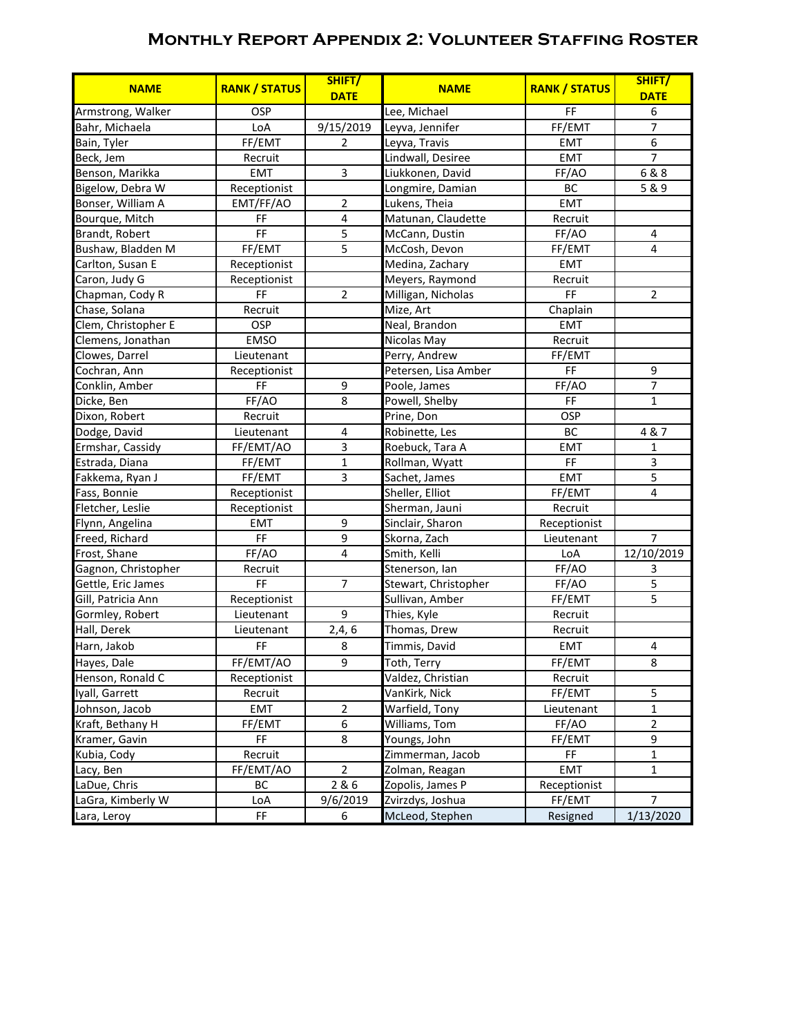## **Monthly Report Appendix 2: Volunteer Staffing Roster**

| <b>NAME</b>         | <b>RANK / STATUS</b> | SHIFT/<br><b>DATE</b>   | <b>NAME</b>          | <b>RANK / STATUS</b> | SHIFT/<br><b>DATE</b> |
|---------------------|----------------------|-------------------------|----------------------|----------------------|-----------------------|
| Armstrong, Walker   | <b>OSP</b>           |                         | Lee, Michael         | FF                   | 6                     |
| Bahr, Michaela      | LoA                  | 9/15/2019               | Leyva, Jennifer      | FF/EMT               | $\overline{7}$        |
| Bain, Tyler         | FF/EMT               | $\overline{2}$          | Leyva, Travis        | <b>EMT</b>           | 6                     |
| Beck, Jem           | Recruit              |                         | Lindwall, Desiree    | <b>EMT</b>           | $\overline{7}$        |
| Benson, Marikka     | <b>EMT</b>           | $\mathsf 3$             | Liukkonen, David     | FF/AO                | 6 & 8                 |
| Bigelow, Debra W    | Receptionist         |                         | Longmire, Damian     | <b>BC</b>            | 5 & 9                 |
| Bonser, William A   | EMT/FF/AO            | $\overline{2}$          | Lukens, Theia        | EMT                  |                       |
| Bourque, Mitch      | FF                   | $\overline{4}$          | Matunan, Claudette   | Recruit              |                       |
| Brandt, Robert      | FF                   | 5                       | McCann, Dustin       | FF/AO                | 4                     |
| Bushaw, Bladden M   | FF/EMT               | 5                       | McCosh, Devon        | FF/EMT               | 4                     |
| Carlton, Susan E    | Receptionist         |                         | Medina, Zachary      | <b>EMT</b>           |                       |
| Caron, Judy G       | Receptionist         |                         | Meyers, Raymond      | Recruit              |                       |
| Chapman, Cody R     | FF                   | $\overline{2}$          | Milligan, Nicholas   | FF                   | $\overline{2}$        |
| Chase, Solana       | Recruit              |                         | Mize, Art            | Chaplain             |                       |
| Clem, Christopher E | OSP                  |                         | Neal, Brandon        | <b>EMT</b>           |                       |
| Clemens, Jonathan   | <b>EMSO</b>          |                         | Nicolas May          | Recruit              |                       |
| Clowes, Darrel      | Lieutenant           |                         | Perry, Andrew        | FF/EMT               |                       |
| Cochran, Ann        | Receptionist         |                         | Petersen, Lisa Amber | FF                   | 9                     |
| Conklin, Amber      | $\mathsf{FF}% _{0}$  | 9                       | Poole, James         | FF/AO                | $\overline{7}$        |
| Dicke, Ben          | FF/AO                | 8                       | Powell, Shelby       | FF                   | $\mathbf{1}$          |
| Dixon, Robert       | Recruit              |                         | Prine, Don           | OSP                  |                       |
| Dodge, David        | Lieutenant           | 4                       | Robinette, Les       | BC                   | 4 & 7                 |
| Ermshar, Cassidy    | FF/EMT/AO            | $\overline{\mathbf{3}}$ | Roebuck, Tara A      | <b>EMT</b>           | $\mathbf{1}$          |
| Estrada, Diana      | FF/EMT               | $\mathbf{1}$            | Rollman, Wyatt       | FF                   | 3                     |
| Fakkema, Ryan J     | FF/EMT               | 3                       | Sachet, James        | <b>EMT</b>           | 5                     |
| Fass, Bonnie        | Receptionist         |                         | Sheller, Elliot      | FF/EMT               | $\overline{4}$        |
| Fletcher, Leslie    | Receptionist         |                         | Sherman, Jauni       | Recruit              |                       |
| Flynn, Angelina     | <b>EMT</b>           | 9                       | Sinclair, Sharon     | Receptionist         |                       |
| Freed, Richard      | FF                   | 9                       | Skorna, Zach         | Lieutenant           | $\overline{7}$        |
| Frost, Shane        | FF/AO                | 4                       | Smith, Kelli         | LoA                  | 12/10/2019            |
| Gagnon, Christopher | Recruit              |                         | Stenerson, lan       | FF/AO                | 3                     |
| Gettle, Eric James  | FF                   | $\overline{7}$          | Stewart, Christopher | FF/AO                | 5                     |
| Gill, Patricia Ann  | Receptionist         |                         | Sullivan, Amber      | FF/EMT               | 5                     |
| Gormley, Robert     | Lieutenant           | 9                       | Thies, Kyle          | Recruit              |                       |
| Hall, Derek         | Lieutenant           | 2,4,6                   | Thomas, Drew         | Recruit              |                       |
| Harn, Jakob         | FF                   | 8                       | Timmis, David        | <b>EMT</b>           | $\overline{4}$        |
| Hayes, Dale         | FF/EMT/AO            | 9                       | Toth, Terry          | FF/EMT               | 8                     |
| Henson, Ronald C    | Receptionist         |                         | Valdez, Christian    | Recruit              |                       |
| Iyall, Garrett      | Recruit              |                         | VanKirk, Nick        | FF/EMT               | 5                     |
| Johnson, Jacob      | EMT                  | $\overline{2}$          | Warfield, Tony       | Lieutenant           | $\mathbf{1}$          |
| Kraft, Bethany H    | FF/EMT               | 6                       | Williams, Tom        | FF/AO                | $\overline{2}$        |
| Kramer, Gavin       | $\mathsf{FF}% _{0}$  | 8                       | Youngs, John         | FF/EMT               | 9                     |
| Kubia, Cody         | Recruit              |                         | Zimmerman, Jacob     | FF                   | $\mathbf 1$           |
| Lacy, Ben           | FF/EMT/AO            | $\overline{2}$          | Zolman, Reagan       | <b>EMT</b>           | $\mathbf{1}$          |
| LaDue, Chris        | BC                   | 2 & 6                   | Zopolis, James P     | Receptionist         |                       |
| LaGra, Kimberly W   | LoA                  | 9/6/2019                | Zvirzdys, Joshua     | FF/EMT               | $\overline{7}$        |
| Lara, Leroy         | FF                   | 6                       | McLeod, Stephen      | Resigned             | 1/13/2020             |